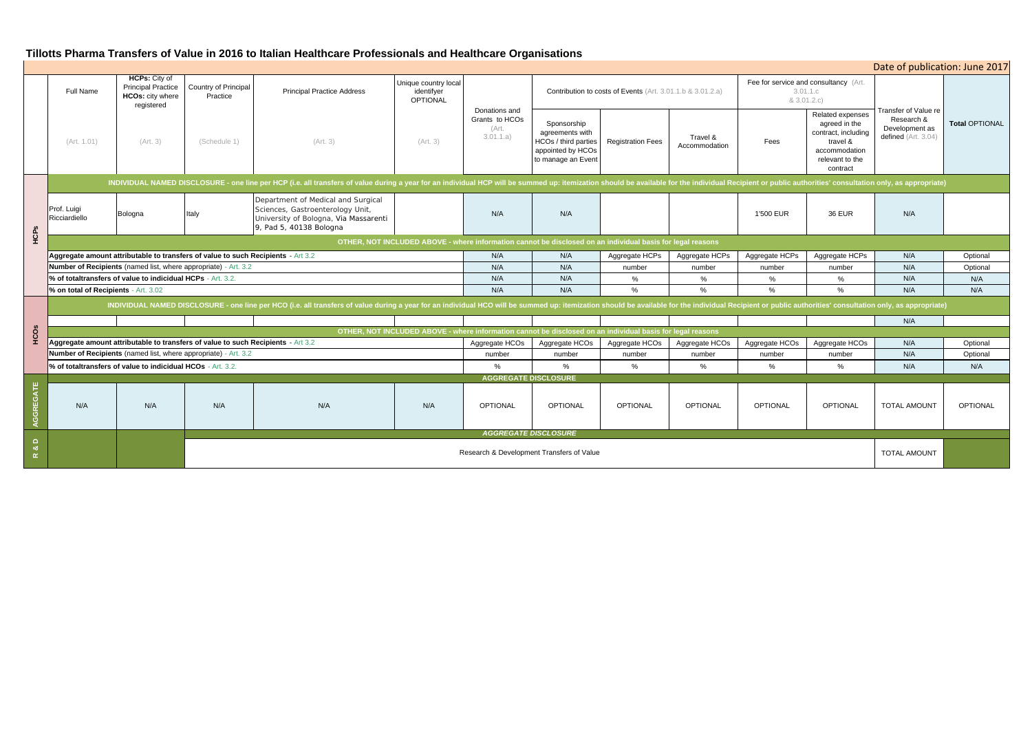| Date of publication: June 2017                                                                 |                        |                                                      |                                                                                                                      |                                                                             |                       |  |  |  |  |  |
|------------------------------------------------------------------------------------------------|------------------------|------------------------------------------------------|----------------------------------------------------------------------------------------------------------------------|-----------------------------------------------------------------------------|-----------------------|--|--|--|--|--|
| (Art. 3.01.1.b & 3.01.2.a)                                                                     |                        | Fee for service and consultancy (Art.<br>& 3.01.2.c) | 3.01.1.c                                                                                                             |                                                                             |                       |  |  |  |  |  |
| Travel &<br>Fees<br>Accommodation                                                              |                        | Fees                                                 | Related expenses<br>agreed in the<br>contract, including<br>travel &<br>accommodation<br>relevant to the<br>contract | Transfer of Value re<br>Research &<br>Development as<br>defined (Art. 3.04) | <b>Total OPTIONAL</b> |  |  |  |  |  |
| ailable for the individual Recipient or public authorities' consultation only, as appropriate) |                        |                                                      |                                                                                                                      |                                                                             |                       |  |  |  |  |  |
|                                                                                                |                        | 1'500 EUR                                            | <b>36 EUR</b>                                                                                                        | N/A                                                                         |                       |  |  |  |  |  |
| asis for legal reasons                                                                         |                        |                                                      |                                                                                                                      |                                                                             |                       |  |  |  |  |  |
| HCPs                                                                                           | Aggregate HCPs         | Aggregate HCPs                                       | Aggregate HCPs                                                                                                       | N/A                                                                         | Optional              |  |  |  |  |  |
|                                                                                                | number                 | number                                               | number                                                                                                               | N/A                                                                         | Optional              |  |  |  |  |  |
|                                                                                                | %                      | %                                                    | %                                                                                                                    | N/A                                                                         | N/A                   |  |  |  |  |  |
|                                                                                                | %                      | %                                                    | %                                                                                                                    | N/A                                                                         | N/A                   |  |  |  |  |  |
| ailable for the individual Recipient or public authorities' consultation only, as appropriate) |                        |                                                      |                                                                                                                      |                                                                             |                       |  |  |  |  |  |
|                                                                                                |                        |                                                      |                                                                                                                      | N/A                                                                         |                       |  |  |  |  |  |
|                                                                                                | asis for legal reasons |                                                      |                                                                                                                      |                                                                             |                       |  |  |  |  |  |
| HCOs                                                                                           | Aggregate HCOs         | Aggregate HCOs                                       | Aggregate HCOs                                                                                                       | N/A                                                                         | Optional              |  |  |  |  |  |
|                                                                                                | number                 | number                                               | number                                                                                                               | N/A                                                                         | Optional              |  |  |  |  |  |
|                                                                                                | $\%$                   | %                                                    | %                                                                                                                    | N/A                                                                         | N/A                   |  |  |  |  |  |
|                                                                                                |                        |                                                      |                                                                                                                      |                                                                             |                       |  |  |  |  |  |
| AL                                                                                             | <b>OPTIONAL</b>        | <b>OPTIONAL</b>                                      | <b>OPTIONAL</b>                                                                                                      | TOTAL AMOUNT                                                                | <b>OPTIONAL</b>       |  |  |  |  |  |
|                                                                                                |                        |                                                      |                                                                                                                      |                                                                             |                       |  |  |  |  |  |
|                                                                                                |                        |                                                      |                                                                                                                      | <b>TOTAL AMOUNT</b>                                                         |                       |  |  |  |  |  |

|                                                  |                                                                                                                                                                                                                                |                                                                                     |                                           | Tillotts Pharma Transfers of Value in 2016 to Italian Healthcare Professionals and Healthcare Organisations                                |                                                       |                                                       |                                                                                                   |                          |                                                                  |                     |                                                                                                                      |                                                                             |                     |
|--------------------------------------------------|--------------------------------------------------------------------------------------------------------------------------------------------------------------------------------------------------------------------------------|-------------------------------------------------------------------------------------|-------------------------------------------|--------------------------------------------------------------------------------------------------------------------------------------------|-------------------------------------------------------|-------------------------------------------------------|---------------------------------------------------------------------------------------------------|--------------------------|------------------------------------------------------------------|---------------------|----------------------------------------------------------------------------------------------------------------------|-----------------------------------------------------------------------------|---------------------|
|                                                  |                                                                                                                                                                                                                                |                                                                                     |                                           |                                                                                                                                            |                                                       |                                                       |                                                                                                   |                          |                                                                  |                     |                                                                                                                      | Date of publication: June 20                                                |                     |
|                                                  | <b>Full Name</b>                                                                                                                                                                                                               | <b>HCPs:</b> City of<br><b>Principal Practice</b><br>HCOs: city where<br>registered | Country of Principal<br>Practice          | <b>Principal Practice Address</b>                                                                                                          | Unique country local<br>identifyer<br><b>OPTIONAL</b> | Donations and<br>Grants to HCOs<br>(Art.<br>3.01.1.a) | Contribution to costs of Events (Art. 3.01.1.b & 3.01.2.a)                                        |                          | Fee for service and consultancy (Art.<br>3.01.1.c<br>& 3.01.2.c) |                     |                                                                                                                      |                                                                             |                     |
|                                                  | (Art. 1.01)                                                                                                                                                                                                                    | (Art. 3)                                                                            | (Schedule 1)                              | (Art. 3)                                                                                                                                   | (Art. 3)                                              |                                                       | Sponsorship<br>agreements with<br>HCOs / third parties<br>appointed by HCOs<br>to manage an Event | <b>Registration Fees</b> | Travel &<br>Accommodation                                        | Fees                | Related expenses<br>agreed in the<br>contract, including<br>travel &<br>accommodation<br>relevant to the<br>contract | Transfer of Value re<br>Research &<br>Development as<br>defined (Art. 3.04) | <b>Total OPTION</b> |
| HCPs                                             | INDIVIDUAL NAMED DISCLOSURE - one line per HCP (i.e. all transfers of value during a year for an individual HCP will be summed up: itemization should be available for the individual Recipient or public authorities' consult |                                                                                     |                                           |                                                                                                                                            |                                                       |                                                       |                                                                                                   |                          |                                                                  |                     |                                                                                                                      |                                                                             |                     |
|                                                  | Prof. Luigi<br>Ricciardiello                                                                                                                                                                                                   | Bologna                                                                             | Italy                                     | Department of Medical and Surgical<br>Sciences, Gastroenterology Unit,<br>University of Bologna, Via Massarenti<br>9, Pad 5, 40138 Bologna |                                                       | N/A                                                   | N/A                                                                                               |                          |                                                                  | 1'500 EUR           | <b>36 EUR</b>                                                                                                        | N/A                                                                         |                     |
|                                                  | OTHER, NOT INCLUDED ABOVE - where information cannot be disclosed on an individual basis for legal reasons                                                                                                                     |                                                                                     |                                           |                                                                                                                                            |                                                       |                                                       |                                                                                                   |                          |                                                                  |                     |                                                                                                                      |                                                                             |                     |
|                                                  | Aggregate amount attributable to transfers of value to such Recipients - Art 3.2                                                                                                                                               |                                                                                     |                                           |                                                                                                                                            |                                                       | N/A                                                   | N/A                                                                                               | Aggregate HCPs           | Aggregate HCPs                                                   | Aggregate HCPs      | Aggregate HCPs                                                                                                       | N/A                                                                         | Optional            |
|                                                  | Number of Recipients (named list, where appropriate) - Art. 3.2                                                                                                                                                                |                                                                                     |                                           |                                                                                                                                            | N/A                                                   | N/A                                                   | number                                                                                            | number                   | number                                                           | number              | N/A                                                                                                                  | Optional                                                                    |                     |
|                                                  | % of totaltransfers of value to indicidual HCPs - Art. 3.2.                                                                                                                                                                    |                                                                                     |                                           |                                                                                                                                            |                                                       | N/A                                                   | N/A                                                                                               | $\%$                     | %                                                                | %                   | $\%$                                                                                                                 | N/A                                                                         | N/A                 |
|                                                  | % on total of Recipients - Art. 3.02                                                                                                                                                                                           |                                                                                     |                                           |                                                                                                                                            |                                                       | N/A                                                   | N/A                                                                                               | %                        | %                                                                | $\%$                | %                                                                                                                    | N/A                                                                         | N/A                 |
|                                                  | INDIVIDUAL NAMED DISCLOSURE - one line per HCO (i.e. all transfers of value during a year for an individual HCO will be summed up: itemization should be available for the individual Recipient or public authorities' consult |                                                                                     |                                           |                                                                                                                                            |                                                       |                                                       |                                                                                                   |                          |                                                                  |                     |                                                                                                                      |                                                                             |                     |
|                                                  |                                                                                                                                                                                                                                |                                                                                     |                                           |                                                                                                                                            |                                                       |                                                       |                                                                                                   |                          |                                                                  |                     |                                                                                                                      | N/A                                                                         |                     |
| HCOS                                             | OTHER, NOT INCLUDED ABOVE - where information cannot be disclosed on an individual basis for legal reasons                                                                                                                     |                                                                                     |                                           |                                                                                                                                            |                                                       |                                                       |                                                                                                   |                          |                                                                  |                     |                                                                                                                      |                                                                             |                     |
|                                                  | Aggregate amount attributable to transfers of value to such Recipients - Art 3.2                                                                                                                                               |                                                                                     |                                           |                                                                                                                                            | Aggregate HCOs                                        | Aggregate HCOs                                        | Aggregate HCOs                                                                                    | Aggregate HCOs           | Aggregate HCOs                                                   | Aggregate HCOs      | N/A                                                                                                                  | Optional                                                                    |                     |
|                                                  | <b>Number of Recipients</b> (named list, where appropriate) - Art. 3.2                                                                                                                                                         |                                                                                     |                                           |                                                                                                                                            | number                                                | number                                                | number                                                                                            | number                   | number                                                           | number              | N/A                                                                                                                  | Optional                                                                    |                     |
|                                                  | % of totaltransfers of value to indicidual HCOs - Art. 3.2.                                                                                                                                                                    |                                                                                     |                                           |                                                                                                                                            | $\alpha$                                              | $\frac{1}{2}$                                         | %                                                                                                 | $\%$                     | $\%$                                                             | $\%$                | N/A                                                                                                                  | N/A                                                                         |                     |
|                                                  | <b>AGGREGATE DISCLOSURE</b>                                                                                                                                                                                                    |                                                                                     |                                           |                                                                                                                                            |                                                       |                                                       |                                                                                                   |                          |                                                                  |                     |                                                                                                                      |                                                                             |                     |
| AGGREGATE                                        | N/A                                                                                                                                                                                                                            | N/A                                                                                 | N/A                                       | N/A                                                                                                                                        | N/A                                                   | <b>OPTIONAL</b>                                       | <b>OPTIONAL</b>                                                                                   | <b>OPTIONAL</b>          | <b>OPTIONAL</b>                                                  | <b>OPTIONAL</b>     | <b>OPTIONAL</b>                                                                                                      | <b>TOTAL AMOUNT</b>                                                         | <b>OPTIONAL</b>     |
|                                                  |                                                                                                                                                                                                                                |                                                                                     | <b>AGGREGATE DISCLOSURE</b>               |                                                                                                                                            |                                                       |                                                       |                                                                                                   |                          |                                                                  |                     |                                                                                                                      |                                                                             |                     |
| $\Omega$<br>$\bullet\!\!\!\!\sigma$<br>$\propto$ |                                                                                                                                                                                                                                |                                                                                     | Research & Development Transfers of Value |                                                                                                                                            |                                                       |                                                       |                                                                                                   |                          |                                                                  | <b>TOTAL AMOUNT</b> |                                                                                                                      |                                                                             |                     |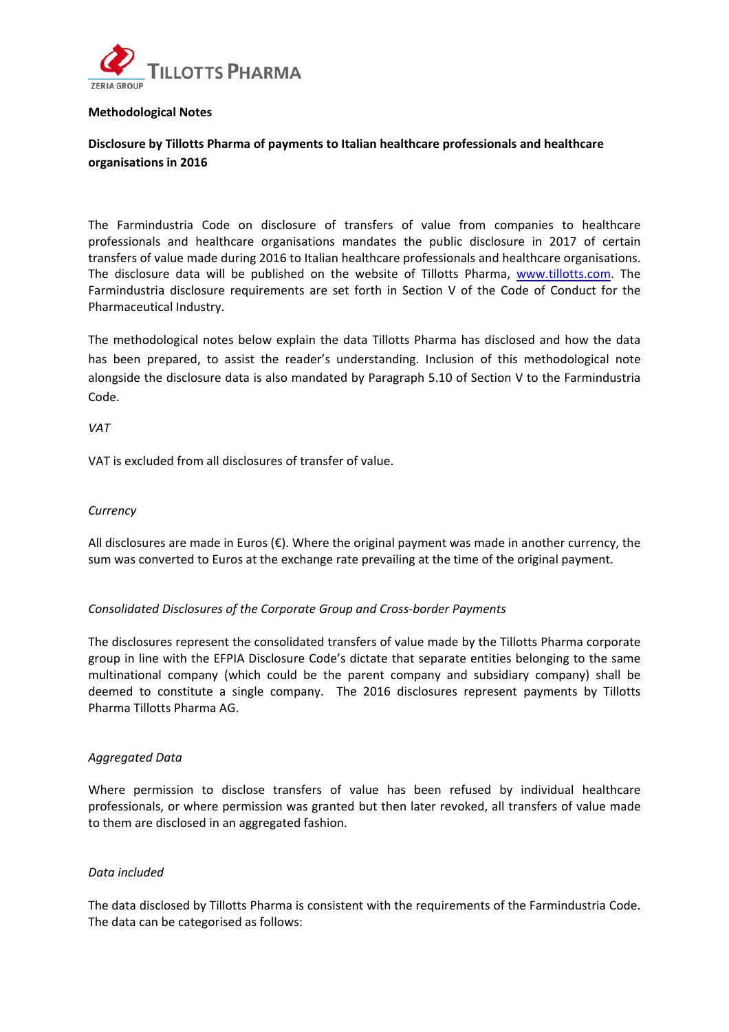

### **Methodological Notes**

# **Disclosure by Tillotts Pharma of payments to Italian healthcare professionals and healthcare organisations in 2016**

The Farmindustria Code on disclosure of transfers of value from companies to healthcare professionals and healthcare organisations mandates the public disclosure in 2017 of certain transfers of value made during 2016 to Italian healthcare professionals and healthcare organisations. The disclosure data will be published on the website of Tillotts Pharma, www.tillotts.com. The Farmindustria disclosure requirements are set forth in Section V of the Code of Conduct for the Pharmaceutical Industry.

The methodological notes below explain the data Tillotts Pharma has disclosed and how the data has been prepared, to assist the reader's understanding. Inclusion of this methodological note alongside the disclosure data is also mandated by Paragraph 5.10 of Section V to the Farmindustria Code.

*VAT*

VAT is excluded from all disclosures of transfer of value.

### *Currency*

All disclosures are made in Euros (€). Where the original payment was made in another currency, the sum was converted to Euros at the exchange rate prevailing at the time of the original payment.

# *Consolidated Disclosures of the Corporate Group and Cross‐border Payments*

The disclosures represent the consolidated transfers of value made by the Tillotts Pharma corporate group in line with the EFPIA Disclosure Code's dictate that separate entities belonging to the same multinational company (which could be the parent company and subsidiary company) shall be deemed to constitute a single company. The 2016 disclosures represent payments by Tillotts Pharma Tillotts Pharma AG.

#### *Aggregated Data*

Where permission to disclose transfers of value has been refused by individual healthcare professionals, or where permission was granted but then later revoked, all transfers of value made to them are disclosed in an aggregated fashion.

# *Data included*

The data disclosed by Tillotts Pharma is consistent with the requirements of the Farmindustria Code. The data can be categorised as follows: